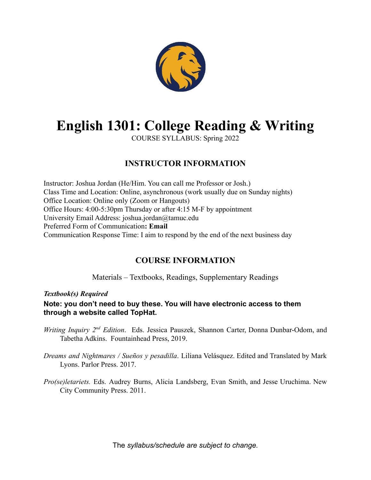

# **English 1301: College Reading & Writing**

COURSE SYLLABUS: Spring 2022

# **INSTRUCTOR INFORMATION**

Instructor: Joshua Jordan (He/Him. You can call me Professor or Josh.) Class Time and Location: Online, asynchronous (work usually due on Sunday nights) Office Location: Online only (Zoom or Hangouts) Office Hours: 4:00-5:30pm Thursday or after 4:15 M-F by appointment University Email Address: joshua.jordan@tamuc.edu Preferred Form of Communication**: Email** Communication Response Time: I aim to respond by the end of the next business day

# **COURSE INFORMATION**

Materials – Textbooks, Readings, Supplementary Readings

*Textbook(s) Required*

**Note: you don't need to buy these. You will have electronic access to them through a website called TopHat.**

- *Writing Inquiry*  $2^{nd}$  *Edition*. Eds. Jessica Pauszek, Shannon Carter, Donna Dunbar-Odom, and Tabetha Adkins. Fountainhead Press, 2019.
- *Dreams and Nightmares / Sueños y pesadilla*. Liliana Velásquez. Edited and Translated by Mark Lyons. Parlor Press. 2017.
- *Pro(se)letariets.* Eds. Audrey Burns, Alicia Landsberg, Evan Smith, and Jesse Uruchima. New City Community Press. 2011.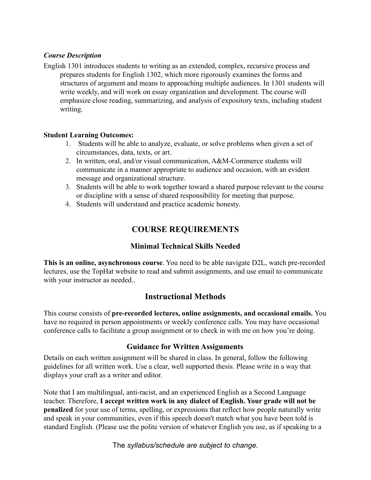#### *Course Description*

English 1301 introduces students to writing as an extended, complex, recursive process and prepares students for English 1302, which more rigorously examines the forms and structures of argument and means to approaching multiple audiences. In 1301 students will write weekly, and will work on essay organization and development. The course will emphasize close reading, summarizing, and analysis of expository texts, including student writing.

#### **Student Learning Outcomes:**

- 1. Students will be able to analyze, evaluate, or solve problems when given a set of circumstances, data, texts, or art.
- 2. In written, oral, and/or visual communication, A&M-Commerce students will communicate in a manner appropriate to audience and occasion, with an evident message and organizational structure.
- 3. Students will be able to work together toward a shared purpose relevant to the course or discipline with a sense of shared responsibility for meeting that purpose.
- 4. Students will understand and practice academic honesty.

# **COURSE REQUIREMENTS**

#### **Minimal Technical Skills Needed**

**This is an online, asynchronous course**. You need to be able navigate D2L, watch pre-recorded lectures, use the TopHat website to read and submit assignments, and use email to communicate with your instructor as needed..

## **Instructional Methods**

This course consists of **pre-recorded lectures, online assignments, and occasional emails.** You have no required in person appointments or weekly conference calls. You may have occasional conference calls to facilitate a group assignment or to check in with me on how you're doing.

#### **Guidance for Written Assignments**

Details on each written assignment will be shared in class. In general, follow the following guidelines for all written work. Use a clear, well supported thesis. Please write in a way that displays your craft as a writer and editor.

Note that I am multilingual, anti-racist, and an experienced English as a Second Language teacher. Therefore, **I accept written work in any dialect of English. Your grade will not be penalized** for your use of terms, spelling, or expressions that reflect how people naturally write and speak in your communities, even if this speech doesn't match what you have been told is standard English. (Please use the polite version of whatever English you use, as if speaking to a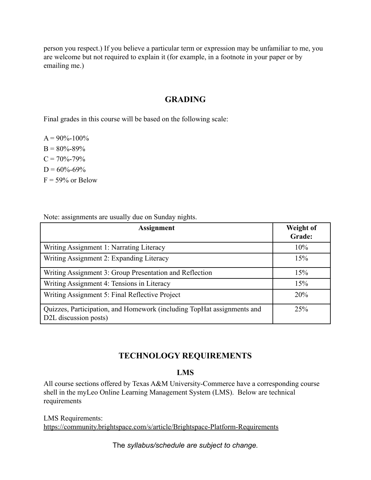person you respect.) If you believe a particular term or expression may be unfamiliar to me, you are welcome but not required to explain it (for example, in a footnote in your paper or by emailing me.)

# **GRADING**

Final grades in this course will be based on the following scale:

 $A = 90\% - 100\%$  $B = 80\% - 89\%$  $C = 70\% - 79\%$  $D = 60\% - 69\%$  $F = 59\%$  or Below

Note: assignments are usually due on Sunday nights.

| <b>Assignment</b>                                                                               | Weight of<br>Grade: |
|-------------------------------------------------------------------------------------------------|---------------------|
| Writing Assignment 1: Narrating Literacy                                                        | 10%                 |
| Writing Assignment 2: Expanding Literacy                                                        | 15%                 |
| Writing Assignment 3: Group Presentation and Reflection                                         | 15%                 |
| Writing Assignment 4: Tensions in Literacy                                                      | 15%                 |
| Writing Assignment 5: Final Reflective Project                                                  | 20%                 |
| Quizzes, Participation, and Homework (including TopHat assignments and<br>D2L discussion posts) | 25%                 |

## **TECHNOLOGY REQUIREMENTS**

#### **LMS**

All course sections offered by Texas A&M University-Commerce have a corresponding course shell in the myLeo Online Learning Management System (LMS). Below are technical requirements

LMS Requirements: <https://community.brightspace.com/s/article/Brightspace-Platform-Requirements>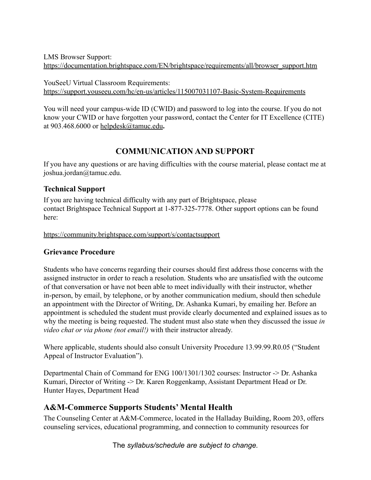LMS Browser Support: [https://documentation.brightspace.com/EN/brightspace/requirements/all/browser\\_support.htm](https://documentation.brightspace.com/EN/brightspace/requirements/all/browser_support.htm)

YouSeeU Virtual Classroom Requirements: <https://support.youseeu.com/hc/en-us/articles/115007031107-Basic-System-Requirements>

You will need your campus-wide ID (CWID) and password to log into the course. If you do not know your CWID or have forgotten your password, contact the Center for IT Excellence (CITE) at 903.468.6000 or [helpdesk@tamuc.edu](mailto:helpdesk@tamuc.edu)**.**

# **COMMUNICATION AND SUPPORT**

If you have any questions or are having difficulties with the course material, please contact me at joshua.jordan@tamuc.edu.

## **Technical Support**

If you are having technical difficulty with any part of Brightspace, please contact Brightspace Technical Support at 1-877-325-7778. Other support options can be found here:

<https://community.brightspace.com/support/s/contactsupport>

## **Grievance Procedure**

Students who have concerns regarding their courses should first address those concerns with the assigned instructor in order to reach a resolution. Students who are unsatisfied with the outcome of that conversation or have not been able to meet individually with their instructor, whether in-person, by email, by telephone, or by another communication medium, should then schedule an appointment with the Director of Writing, Dr. Ashanka Kumari, by emailing her. Before an appointment is scheduled the student must provide clearly documented and explained issues as to why the meeting is being requested. The student must also state when they discussed the issue *in video chat or via phone (not email!)* with their instructor already.

Where applicable, students should also consult University Procedure 13.99.99.R0.05 ("Student Appeal of Instructor Evaluation").

Departmental Chain of Command for ENG 100/1301/1302 courses: Instructor -> Dr. Ashanka Kumari, Director of Writing -> Dr. Karen Roggenkamp, Assistant Department Head or Dr. Hunter Hayes, Department Head

# **A&M-Commerce Supports Students' Mental Health**

The Counseling Center at A&M-Commerce, located in the Halladay Building, Room 203, offers counseling services, educational programming, and connection to community resources for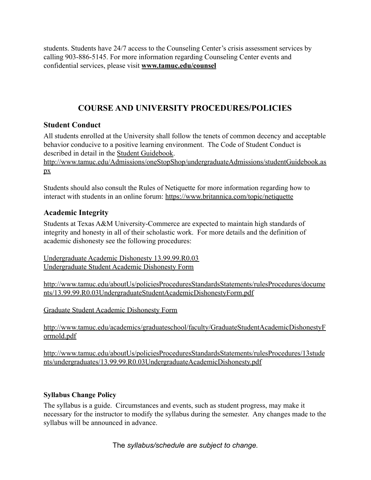students. Students have 24/7 access to the Counseling Center's crisis assessment services by calling 903-886-5145. For more information regarding Counseling Center events and confidential services, please visit **[www.tamuc.edu/counsel](http://www.tamuc.edu/counsel)**

# **COURSE AND UNIVERSITY PROCEDURES/POLICIES**

# **Student Conduct**

All students enrolled at the University shall follow the tenets of common decency and acceptable behavior conducive to a positive learning environment. The Code of Student Conduct is described in detail in the [Student Guidebook.](http://www.tamuc.edu/Admissions/oneStopShop/undergraduateAdmissions/studentGuidebook.aspx)

[http://www.tamuc.edu/Admissions/oneStopShop/undergraduateAdmissions/studentGuidebook.as](http://www.tamuc.edu/Admissions/oneStopShop/undergraduateAdmissions/studentGuidebook.aspx) [px](http://www.tamuc.edu/Admissions/oneStopShop/undergraduateAdmissions/studentGuidebook.aspx)

Students should also consult the Rules of Netiquette for more information regarding how to interact with students in an online forum: <https://www.britannica.com/topic/netiquette>

# **Academic Integrity**

Students at Texas A&M University-Commerce are expected to maintain high standards of integrity and honesty in all of their scholastic work. For more details and the definition of academic dishonesty see the following procedures:

[Undergraduate Academic Dishonesty 13.99.99.R0.03](http://www.tamuc.edu/aboutUs/policiesProceduresStandardsStatements/rulesProcedures/13students/undergraduates/13.99.99.R0.03UndergraduateAcademicDishonesty.pdf) [Undergraduate Student Academic Dishonesty Form](http://www.tamuc.edu/aboutUs/policiesProceduresStandardsStatements/rulesProcedures/documents/13.99.99.R0.03UndergraduateStudentAcademicDishonestyForm.pdf)

[http://www.tamuc.edu/aboutUs/policiesProceduresStandardsStatements/rulesProcedures/docume](http://www.tamuc.edu/aboutUs/policiesProceduresStandardsStatements/rulesProcedures/documents/13.99.99.R0.03UndergraduateStudentAcademicDishonestyForm.pdf) [nts/13.99.99.R0.03UndergraduateStudentAcademicDishonestyForm.pdf](http://www.tamuc.edu/aboutUs/policiesProceduresStandardsStatements/rulesProcedures/documents/13.99.99.R0.03UndergraduateStudentAcademicDishonestyForm.pdf)

[Graduate Student Academic Dishonesty Form](http://www.tamuc.edu/academics/graduateschool/faculty/GraduateStudentAcademicDishonestyFormold.pdf)

[http://www.tamuc.edu/academics/graduateschool/faculty/GraduateStudentAcademicDishonestyF](http://www.tamuc.edu/academics/graduateschool/faculty/GraduateStudentAcademicDishonestyFormold.pdf) [ormold.pdf](http://www.tamuc.edu/academics/graduateschool/faculty/GraduateStudentAcademicDishonestyFormold.pdf)

[http://www.tamuc.edu/aboutUs/policiesProceduresStandardsStatements/rulesProcedures/13stude](http://www.tamuc.edu/aboutUs/policiesProceduresStandardsStatements/rulesProcedures/13students/undergraduates/13.99.99.R0.03UndergraduateAcademicDishonesty.pdf) [nts/undergraduates/13.99.99.R0.03UndergraduateAcademicDishonesty.pdf](http://www.tamuc.edu/aboutUs/policiesProceduresStandardsStatements/rulesProcedures/13students/undergraduates/13.99.99.R0.03UndergraduateAcademicDishonesty.pdf)

## **Syllabus Change Policy**

The syllabus is a guide. Circumstances and events, such as student progress, may make it necessary for the instructor to modify the syllabus during the semester. Any changes made to the syllabus will be announced in advance.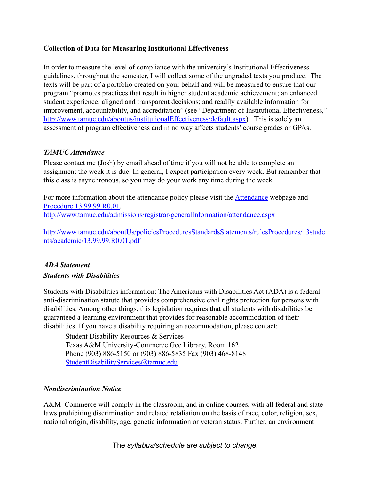#### **Collection of Data for Measuring Institutional Effectiveness**

In order to measure the level of compliance with the university's Institutional Effectiveness guidelines, throughout the semester, I will collect some of the ungraded texts you produce. The texts will be part of a portfolio created on your behalf and will be measured to ensure that our program "promotes practices that result in higher student academic achievement; an enhanced student experience; aligned and transparent decisions; and readily available information for improvement, accountability, and accreditation" (see "Department of Institutional Effectiveness," [http://www.tamuc.edu/aboutus/institutionalEffectiveness/default.aspx\)](http://www.tamuc.edu/aboutus/institutionalEffectiveness/default.aspx). This is solely an assessment of program effectiveness and in no way affects students' course grades or GPAs.

#### *TAMUC Attendance*

Please contact me (Josh) by email ahead of time if you will not be able to complete an assignment the week it is due. In general, I expect participation every week. But remember that this class is asynchronous, so you may do your work any time during the week.

For more information about the attendance policy please visit the [Attendance](http://www.tamuc.edu/admissions/registrar/generalInformation/attendance.aspx) webpage and [Procedure 13.99.99.R0.01.](http://www.tamuc.edu/aboutUs/policiesProceduresStandardsStatements/rulesProcedures/13students/academic/13.99.99.R0.01.pdf) <http://www.tamuc.edu/admissions/registrar/generalInformation/attendance.aspx>

[http://www.tamuc.edu/aboutUs/policiesProceduresStandardsStatements/rulesProcedures/13stude](http://www.tamuc.edu/aboutUs/policiesProceduresStandardsStatements/rulesProcedures/13students/academic/13.99.99.R0.01.pdf) [nts/academic/13.99.99.R0.01.pdf](http://www.tamuc.edu/aboutUs/policiesProceduresStandardsStatements/rulesProcedures/13students/academic/13.99.99.R0.01.pdf)

## *ADA Statement Students with Disabilities*

Students with Disabilities information: The Americans with Disabilities Act (ADA) is a federal anti-discrimination statute that provides comprehensive civil rights protection for persons with disabilities. Among other things, this legislation requires that all students with disabilities be guaranteed a learning environment that provides for reasonable accommodation of their disabilities. If you have a disability requiring an accommodation, please contact:

Student Disability Resources & Services Texas A&M University-Commerce Gee Library, Room 162 Phone (903) 886-5150 or (903) 886-5835 Fax (903) 468-8148 [StudentDisabilityServices@tamuc.edu](mailto:StudentDisabilityServices@tamuc.edu)

#### *Nondiscrimination Notice*

A&M–Commerce will comply in the classroom, and in online courses, with all federal and state laws prohibiting discrimination and related retaliation on the basis of race, color, religion, sex, national origin, disability, age, genetic information or veteran status. Further, an environment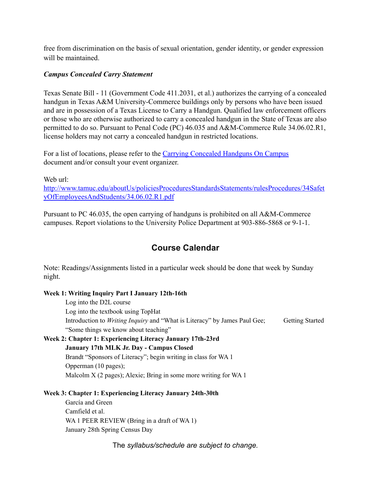free from discrimination on the basis of sexual orientation, gender identity, or gender expression will be maintained.

#### *Campus Concealed Carry Statement*

Texas Senate Bill - 11 (Government Code 411.2031, et al.) authorizes the carrying of a concealed handgun in Texas A&M University-Commerce buildings only by persons who have been issued and are in possession of a Texas License to Carry a Handgun. Qualified law enforcement officers or those who are otherwise authorized to carry a concealed handgun in the State of Texas are also permitted to do so. Pursuant to Penal Code (PC) 46.035 and A&M-Commerce Rule 34.06.02.R1, license holders may not carry a concealed handgun in restricted locations.

For a list of locations, please refer to the Carrying [Concealed Handguns On Campus](http://www.tamuc.edu/aboutUs/policiesProceduresStandardsStatements/rulesProcedures/34SafetyOfEmployeesAndStudents/34.06.02.R1.pdf) document and/or consult your event organizer.

Web url<sup>-</sup>

[http://www.tamuc.edu/aboutUs/policiesProceduresStandardsStatements/rulesProcedures/34Safet](http://www.tamuc.edu/aboutUs/policiesProceduresStandardsStatements/rulesProcedures/34SafetyOfEmployeesAndStudents/34.06.02.R1.pdf) [yOfEmployeesAndStudents/34.06.02.R1.pdf](http://www.tamuc.edu/aboutUs/policiesProceduresStandardsStatements/rulesProcedures/34SafetyOfEmployeesAndStudents/34.06.02.R1.pdf)

Pursuant to PC 46.035, the open carrying of handguns is prohibited on all A&M-Commerce campuses. Report violations to the University Police Department at 903-886-5868 or 9-1-1.

# **Course Calendar**

Note: Readings/Assignments listed in a particular week should be done that week by Sunday night.

#### **Week 1: Writing Inquiry Part I January 12th-16th**

Log into the D2L course Log into the textbook using TopHat Introduction to *Writing Inquiry* and "What is Literacy" by James Paul Gee; Getting Started "Some things we know about teaching" **Week 2: Chapter 1: Experiencing Literacy January 17th-23rd**

# **January 17th MLK Jr. Day - Campus Closed** Brandt "Sponsors of Literacy"; begin writing in class for WA 1 Opperman (10 pages); Malcolm X (2 pages); Alexie; Bring in some more writing for WA 1

#### **Week 3: Chapter 1: Experiencing Literacy January 24th-30th**

García and Green Camfield et al. WA 1 PEER REVIEW (Bring in a draft of WA 1) January 28th Spring Census Day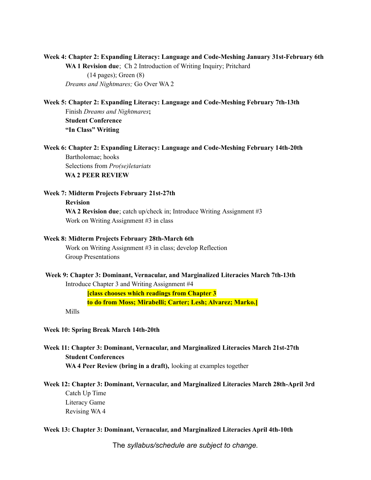**Week 4: Chapter 2: Expanding Literacy: Language and Code-Meshing January 31st-February 6th WA 1 Revision due**; Ch 2 Introduction of Writing Inquiry; Pritchard (14 pages); Green (8) *Dreams and Nightmares;* Go Over WA 2

**Week 5: Chapter 2: Expanding Literacy: Language and Code-Meshing February 7th-13th**

Finish *Dreams and Nightmares***; Student Conference "In Class" Writing**

**Week 6: Chapter 2: Expanding Literacy: Language and Code-Meshing February 14th-20th** Bartholomae; hooks Selections from *Pro(se)letariats* **WA 2 PEER REVIEW**

#### **Week 7: Midterm Projects February 21st-27th**

**Revision**

**WA 2 Revision due**; catch up/check in; Introduce Writing Assignment #3 Work on Writing Assignment #3 in class

#### **Week 8: Midterm Projects February 28th-March 6th**

Work on Writing Assignment #3 in class; develop Reflection Group Presentations

#### **Week 9: Chapter 3: Dominant, Vernacular, and Marginalized Literacies March 7th-13th**

Introduce Chapter 3 and Writing Assignment #4

**[class chooses which readings from Chapter 3**

**to do from Moss; Mirabelli; Carter; Lesh; Alvarez; Marko.]**

Mills

#### **Week 10: Spring Break March 14th-20th**

**Week 11: Chapter 3: Dominant, Vernacular, and Marginalized Literacies March 21st-27th Student Conferences WA 4 Peer Review (bring in a draft),** looking at examples together

**Week 12: Chapter 3: Dominant, Vernacular, and Marginalized Literacies March 28th-April 3rd** Catch Up Time Literacy Game Revising WA 4

#### **Week 13: Chapter 3: Dominant, Vernacular, and Marginalized Literacies April 4th-10th**